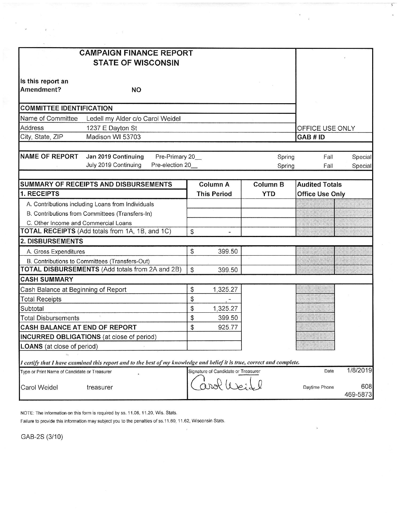| <b>CAMPAIGN FINANCE REPORT</b><br><b>STATE OF WISCONSIN</b>                                                             |                                     |                  |                        |                    |
|-------------------------------------------------------------------------------------------------------------------------|-------------------------------------|------------------|------------------------|--------------------|
| Is this report an<br>Amendment?<br><b>NO</b>                                                                            |                                     |                  |                        |                    |
| <b>COMMITTEE IDENTIFICATION</b>                                                                                         |                                     |                  |                        |                    |
| Name of Committee<br>Ledell my Alder c/o Carol Weidel                                                                   |                                     |                  |                        |                    |
| <b>Address</b><br>1237 E Dayton St                                                                                      |                                     | OFFICE USE ONLY  |                        |                    |
| City, State, ZIP<br>Madison WI 53703                                                                                    |                                     |                  | GAB # ID               |                    |
| <b>NAME OF REPORT</b><br>Jan 2019 Continuing<br>Pre-Primary 20_<br>July 2019 Continuing<br>Pre-election 20_             |                                     | Spring<br>Spring | Fall<br>Fall           | Special<br>Special |
|                                                                                                                         |                                     |                  |                        |                    |
| SUMMARY OF RECEIPTS AND DISBURSEMENTS                                                                                   | <b>Column A</b>                     | <b>Column B</b>  | <b>Audited Totals</b>  |                    |
| 1. RECEIPTS                                                                                                             | <b>This Period</b>                  | <b>YTD</b>       | <b>Office Use Only</b> |                    |
| A. Contributions including Loans from Individuals                                                                       |                                     |                  |                        |                    |
| B. Contributions from Committees (Transfers-In)                                                                         |                                     |                  |                        |                    |
| C. Other Income and Commercial Loans<br>TOTAL RECEIPTS (Add totals from 1A, 1B, and 1C)                                 | \$                                  |                  |                        |                    |
| 2. DISBURSEMENTS                                                                                                        |                                     |                  |                        |                    |
| A. Gross Expenditures                                                                                                   | \$<br>399.50                        |                  |                        |                    |
| B. Contributions to Committees (Transfers-Out)                                                                          |                                     |                  |                        |                    |
| TOTAL DISBURSEMENTS (Add totals from 2A and 2B)                                                                         | \$<br>399.50                        |                  |                        |                    |
| <b>CASH SUMMARY</b>                                                                                                     |                                     |                  |                        |                    |
| Cash Balance at Beginning of Report                                                                                     | \$<br>1,325.27                      |                  |                        |                    |
| <b>Total Receipts</b>                                                                                                   | \$                                  |                  |                        |                    |
| Subtotal                                                                                                                | \$<br>1,325.27                      |                  |                        |                    |
| <b>Total Disbursements</b>                                                                                              | \$<br>399.50                        |                  |                        |                    |
| <b>CASH BALANCE AT END OF REPORT</b>                                                                                    | \$<br>925.77                        |                  |                        |                    |
| INCURRED OBLIGATIONS (at close of period)                                                                               |                                     |                  |                        |                    |
| LOANS (at close of period)                                                                                              |                                     |                  |                        |                    |
| I certify that I have examined this report and to the best of my knowledge and belief it is true, correct and complete. |                                     |                  |                        |                    |
| Type or Print Name of Candidate or Treasurer                                                                            | Signature of Candidate or Treasurer |                  | Date                   | 1/8/2019           |
| Carol Weidel<br>treasurer                                                                                               |                                     |                  | Daytime Phone          | 608<br>469-5873    |

 $\bar{z}$ 

 $\mathcal{E}'$ 

NOTE: The information on this form is required by ss. 11.06, 11.20, Wis. Stats.

Failure to provide this information may subject you to the penalties of ss.11.60, 11.62, Wisconsin Stats.

 $\kappa = \frac{1}{2}$ 

GAB-2S (3/10)